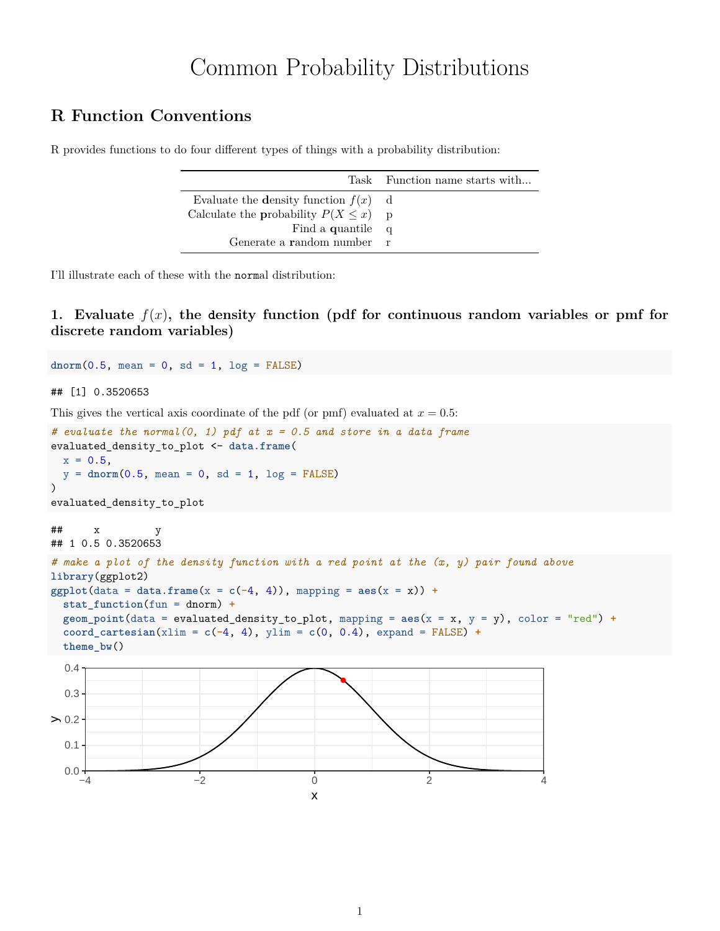# Common Probability Distributions

# **R Function Conventions**

R provides functions to do four different types of things with a probability distribution:

|                                         | Task Function name starts with |
|-----------------------------------------|--------------------------------|
| Evaluate the density function $f(x)$ d  |                                |
| Calculate the probability $P(X \leq x)$ |                                |
| Find a quantile                         |                                |
| Generate a random number                |                                |

I'll illustrate each of these with the normal distribution:

**1. Evaluate** *f*(*x*)**, the density function (pdf for continuous random variables or pmf for discrete random variables)**

 $dnorm(0.5, mean = 0, sd = 1, log = FALSE)$ 

## [1] 0.3520653

This gives the vertical axis coordinate of the pdf (or pmf) evaluated at  $x = 0.5$ :

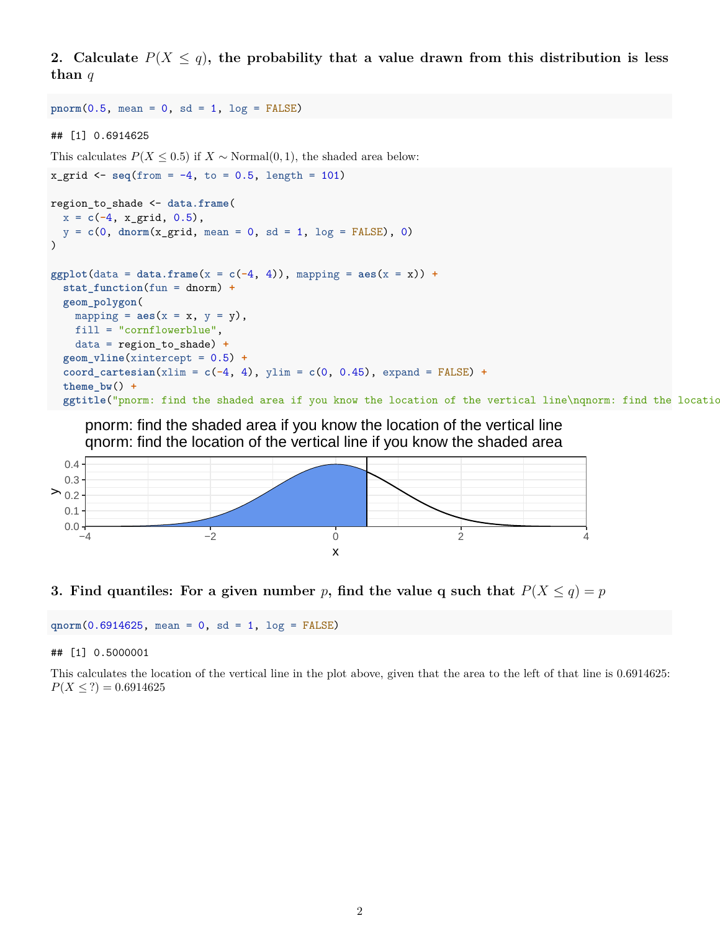**2.** Calculate  $P(X \leq q)$ , the probability that a value drawn from this distribution is less **than** *q*

```
\text{pnorm}(0.5, \text{mean} = 0, \text{sd} = 1, \text{log} = \text{FALSE})## [1] 0.6914625
This calculates P(X \leq 0.5) if X \sim \text{Normal}(0, 1), the shaded area below:
x_{grid} < - \text{ seq}(\text{from} = -4, \text{ to } = 0.5, \text{ length} = 101)region_to_shade <- data.frame(
  x = c(-4, x_grid, 0.5),
  y = c(0, dnorm(x_grid, mean = 0, sd = 1, log = FALSE), 0)
)
ggplot(data = data.frame(x = c(-4, 4)), mapping = aes(x = x)) +
  stat_function(fun = dnorm) +
  geom_polygon(
    mapping = \text{aes}(x = x, y = y),
    fill = "cornflowerblue",
    data = region_to_shade) +
  geom_vline(xintercept = 0.5) +
  \text{coord\_cartesian(xlim = c(-4, 4), ylim = c(0, 0.45), expand = FALSE) +}theme bw() +ggtitle<sup>("pnorm: find the shaded area if you know the location of the vertical line\nqnorm: find the location</sup>
```




**3.** Find quantiles: For a given number *p*, find the value q such that  $P(X \le q) = p$ 

**qnorm**(0.6914625, mean = 0, sd = 1, log = FALSE)

#### ## [1] 0.5000001

This calculates the location of the vertical line in the plot above, given that the area to the left of that line is 0.6914625:  $P(X \leq ?) = 0.6914625$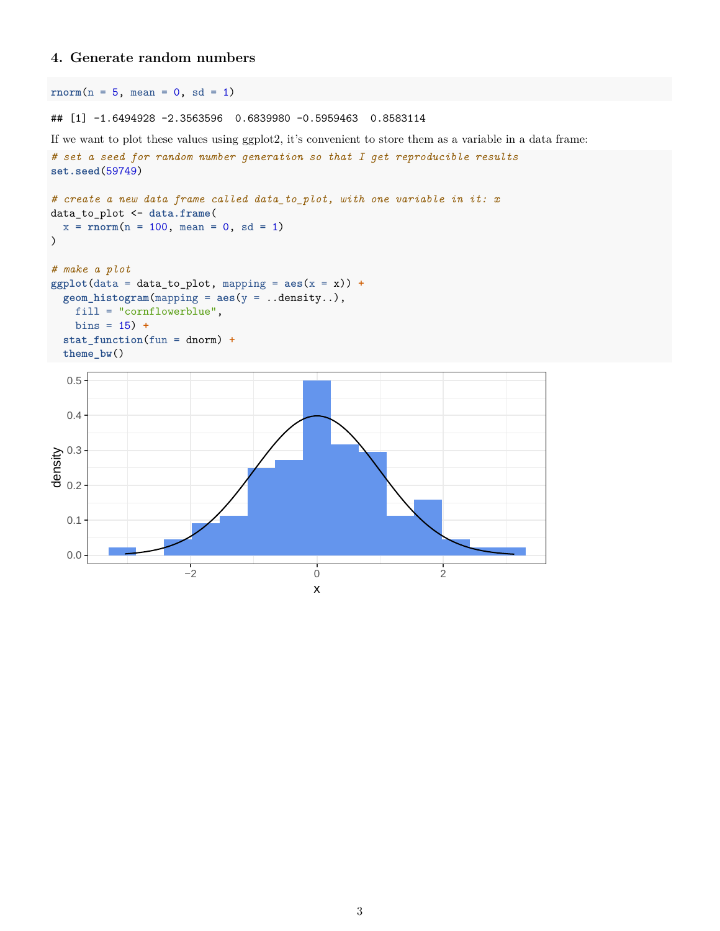## **4. Generate random numbers**

```
rnorm(n = 5, mean = 0, sd = 1)## [1] -1.6494928 -2.3563596 0.6839980 -0.5959463 0.8583114
If we want to plot these values using ggplot2, it's convenient to store them as a variable in a data frame:
# set a seed for random number generation so that I get reproducible results
set.seed(59749)
# create a new data frame called data_to_plot, with one variable in it: x
data_to_plot <- data.frame(
  x = rnorm(n = 100, mean = 0, sd = 1))
# make a plot
ggplot(data = data_to.plot, mapping = aes(x = x)) +geom_histogram(mapping = aes(y = ..density..),
    fill = "cornflowerblue",
    bins = 15) +
  stat_function(fun = dnorm) +
  theme_bw()
```
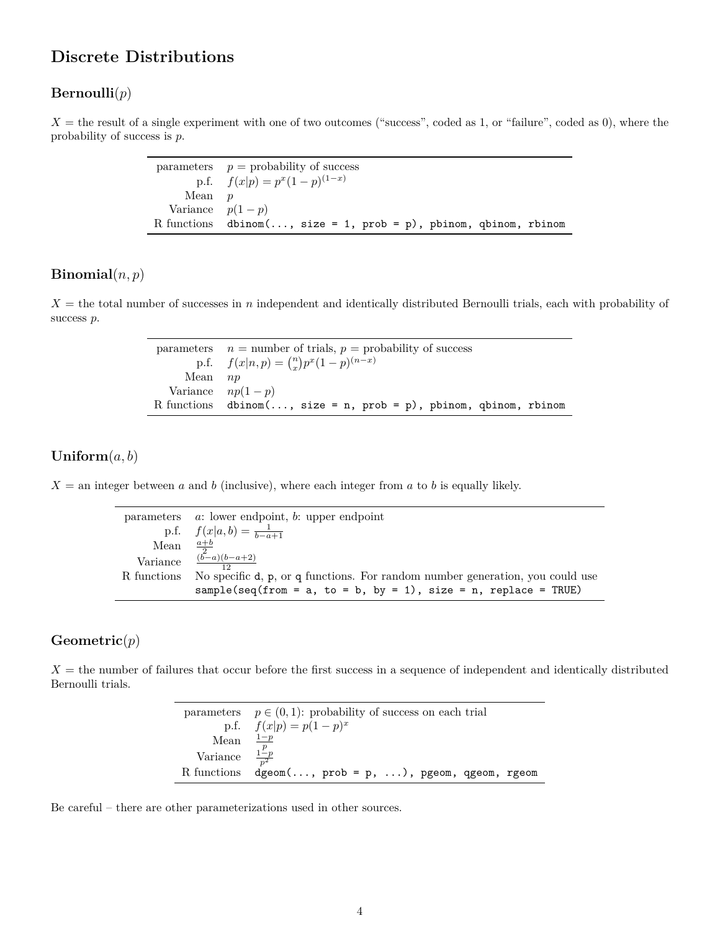# **Discrete Distributions**

# **Bernoulli**(*p*)

 $X =$  the result of a single experiment with one of two outcomes ("success", coded as 1, or "failure", coded as 0), where the probability of success is *p*.

|                   | parameters $p =$ probability of success                          |
|-------------------|------------------------------------------------------------------|
|                   | p.f. $f(x p) = p^x(1-p)^{(1-x)}$                                 |
| Mean $p$          |                                                                  |
| Variance $p(1-p)$ |                                                                  |
|                   | R functions dbinom(, size = 1, prob = p), pbinom, qbinom, rbinom |

# **Binomial**(*n, p*)

 $X =$  the total number of successes in *n* independent and identically distributed Bernoulli trials, each with probability of success *p*.

|           | parameters $n =$ number of trials, $p =$ probability of success  |  |  |
|-----------|------------------------------------------------------------------|--|--|
|           | p.f. $f(x n, p) = {n \choose r} p^x (1-p)^{(n-x)}$               |  |  |
| Mean $np$ |                                                                  |  |  |
|           | Variance $np(1-p)$                                               |  |  |
|           | R functions dbinom(, size = n, prob = p), pbinom, qbinom, rbinom |  |  |

#### **Uniform**(*a, b*)

 $X =$  an integer between *a* and *b* (inclusive), where each integer from *a* to *b* is equally likely.

|                      | parameters $a:$ lower endpoint, $b:$ upper endpoint                           |
|----------------------|-------------------------------------------------------------------------------|
|                      | p.f. $f(x a, b) = \frac{1}{b-a+1}$                                            |
| Mean $\frac{a+b}{2}$ |                                                                               |
|                      | Variance $\frac{(\bar{b}-a)(b-a+2)}{a}$                                       |
| R functions          | No specific d, p, or q functions. For random number generation, you could use |
|                      | sample(seq(from = a, to = b, by = 1), size = n, replace = TRUE)               |

#### **Geometric**(*p*)

 $X =$  the number of failures that occur before the first success in a sequence of independent and identically distributed Bernoulli trials.

|                            | parameters $p \in (0,1)$ : probability of success on each trial                 |  |  |
|----------------------------|---------------------------------------------------------------------------------|--|--|
|                            | p.f. $f(x p) = p(1-p)^x$                                                        |  |  |
| Mean $\frac{1-p}{p}$       |                                                                                 |  |  |
| Variance $\frac{1-p}{n^2}$ |                                                                                 |  |  |
|                            | R functions $\deg$ om $(\ldots, \text{prob} = p, \ldots)$ , pgeom, qgeom, rgeom |  |  |

Be careful – there are other parameterizations used in other sources.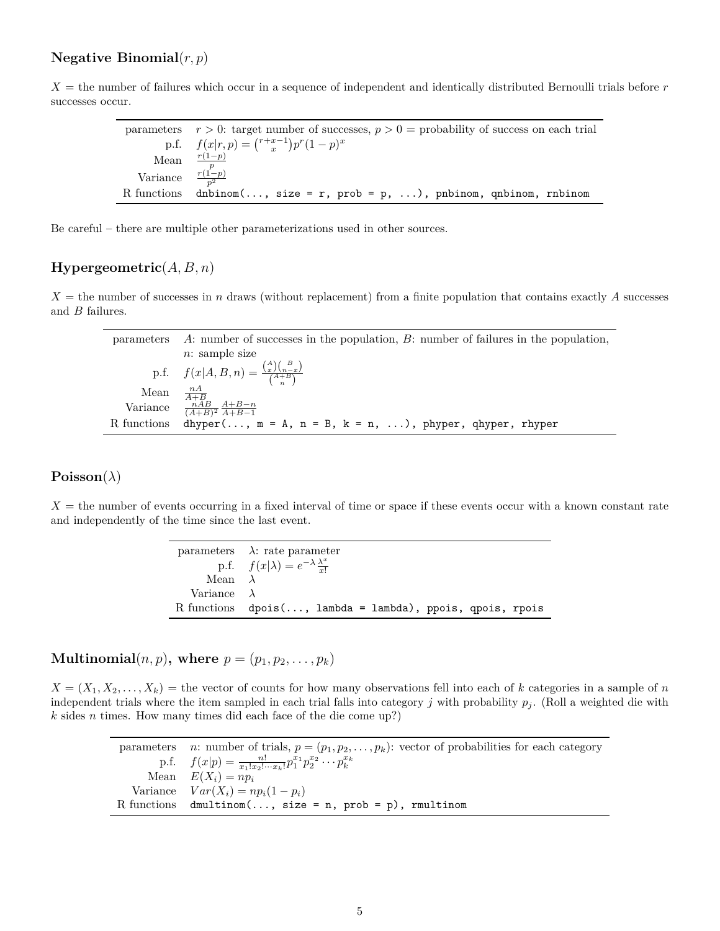# **Negative Binomial**(*r, p*)

*X* = the number of failures which occur in a sequence of independent and identically distributed Bernoulli trials before *r* successes occur.

|                               | parameters $r > 0$ : target number of successes, $p > 0$ = probability of success on each trial |  |
|-------------------------------|-------------------------------------------------------------------------------------------------|--|
|                               | p.f. $f(x r, p) = {r+x-1 \choose r} p^r (1-p)^x$                                                |  |
| Mean                          | $r(1-p)$                                                                                        |  |
| Variance $\frac{r(1-p)}{n^2}$ |                                                                                                 |  |
| R functions                   | dnbinom $(, size = r, prob = p, )$ , pnbinom, qnbinom, rnbinom                                  |  |

Be careful – there are multiple other parameterizations used in other sources.

# **Hypergeometric**(*A, B, n*)

*X* = the number of successes in *n* draws (without replacement) from a finite population that contains exactly *A* successes and *B* failures.

| parameters  | A: number of successes in the population, $B$ : number of failures in the population, |
|-------------|---------------------------------------------------------------------------------------|
|             | $n:$ sample size                                                                      |
|             | p.f. $f(x A, B, n) = \frac{\binom{A}{x}\binom{B}{n-x}}{\binom{A+B}{n}}$               |
|             |                                                                                       |
|             | Mean $\frac{nA}{A+B}$<br>Variance $\frac{nAB}{(A+B)^2}\frac{A+B-n}{A+B-1}$            |
| R functions | dhyper(, $m = A$ , $n = B$ , $k = n$ , ), phyper, qhyper, rhyper                      |

#### $Poisson(\lambda)$

 $X =$  the number of events occurring in a fixed interval of time or space if these events occur with a known constant rate and independently of the time since the last event.

|                    | parameters $\lambda$ : rate parameter                       |
|--------------------|-------------------------------------------------------------|
|                    | p.f. $f(x \lambda) = e^{-\lambda} \frac{\lambda^x}{x!}$     |
| Mean $\lambda$     |                                                             |
| Variance $\lambda$ |                                                             |
|                    | $R$ functions dpois(, lambda = lambda), ppois, qpois, rpois |

**Multinomial** $(n, p)$ , where  $p = (p_1, p_2, \ldots, p_k)$ 

 $X = (X_1, X_2, \ldots, X_k)$  = the vector of counts for how many observations fell into each of *k* categories in a sample of *n* independent trials where the item sampled in each trial falls into category  $j$  with probability  $p_j$ . (Roll a weighted die with *k* sides *n* times. How many times did each face of the die come up?)

| parameters <i>n</i> : number of trials, $p = (p_1, p_2, \ldots, p_k)$ : vector of probabilities for each category |
|-------------------------------------------------------------------------------------------------------------------|
| p.f. $f(x p) = \frac{n!}{x_1!x_2!\cdots x_k!}p_1^{x_1}p_2^{x_2}\cdots p_k^{x_k}$                                  |
| Mean $E(X_i) = np_i$                                                                                              |
| Variance $Var(X_i) = np_i(1 - p_i)$                                                                               |
| R functions dmultinom(, size = n, prob = p), rmultinom                                                            |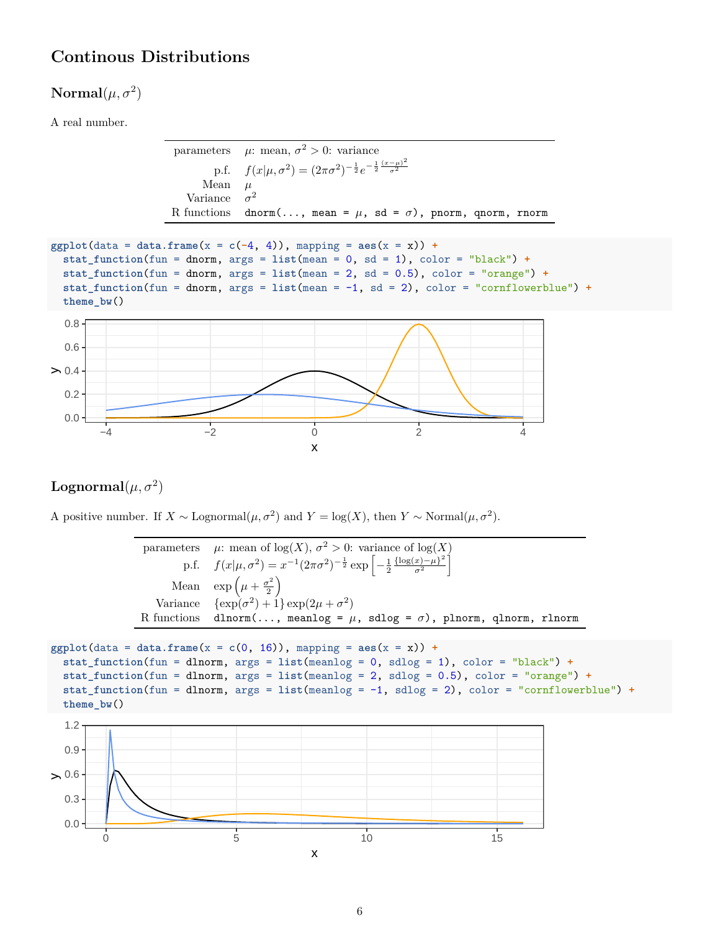# **Continous Distributions**

# $\mathbf{Normal}(\mu, \sigma^2)$

A real number.

```
parameters \mu: mean, \sigma^2 > 0: variance
           p.f. f(x|\mu, \sigma^2) = (2\pi\sigma^2)^{-\frac{1}{2}}e^{-\frac{1}{2}\frac{(x-\mu)^2}{\sigma^2}}Mean µ
   Variance σ
                  \sigma^2R functions dnorm(..., mean = \mu, sd = \sigma), pnorm, qnorm, rnorm
```

```
ggplot(data = data.frame(x = c(-4, 4)), mapping = aes(x = x)) +
  stat_function(fun = dnorm, args = list(mean = 0, sd = 1), color = "black") +stat_function(fun = donorm, args = list(mean = 2, sd = 0.5), color = "orange") +stat_function(fun = domrm, args = list(mean = -1, sd = 2), color = "cornflowerblue") +theme_bw()
```


# $\mathbf{Lognormal}(\mu, \sigma^2)$

A positive number. If  $X \sim \text{Lognormal}(\mu, \sigma^2)$  and  $Y = \log(X)$ , then  $Y \sim \text{Normal}(\mu, \sigma^2)$ .

parameters  $\mu$ : mean of log(*X*),  $\sigma^2 > 0$ : variance of log(*X*) p.f.  $f(x|\mu, \sigma^2) = x^{-1} (2\pi \sigma^2)^{-\frac{1}{2}} \exp \left[-\frac{1}{2}\right]$  $\{\log(x) - \mu\}^2$  $\frac{x(-\mu)^2}{\sigma^2}$ Mean  $\exp\left(\mu + \frac{\sigma^2}{2}\right)$  $\left(\frac{r^2}{2}\right)^2$ Variance  $^{2}) + 1$ } exp(2 $\mu + \sigma^{2}$ ) R functions dlnorm(..., meanlog =  $\mu$ , sdlog =  $\sigma$ ), plnorm, qlnorm, rlnorm



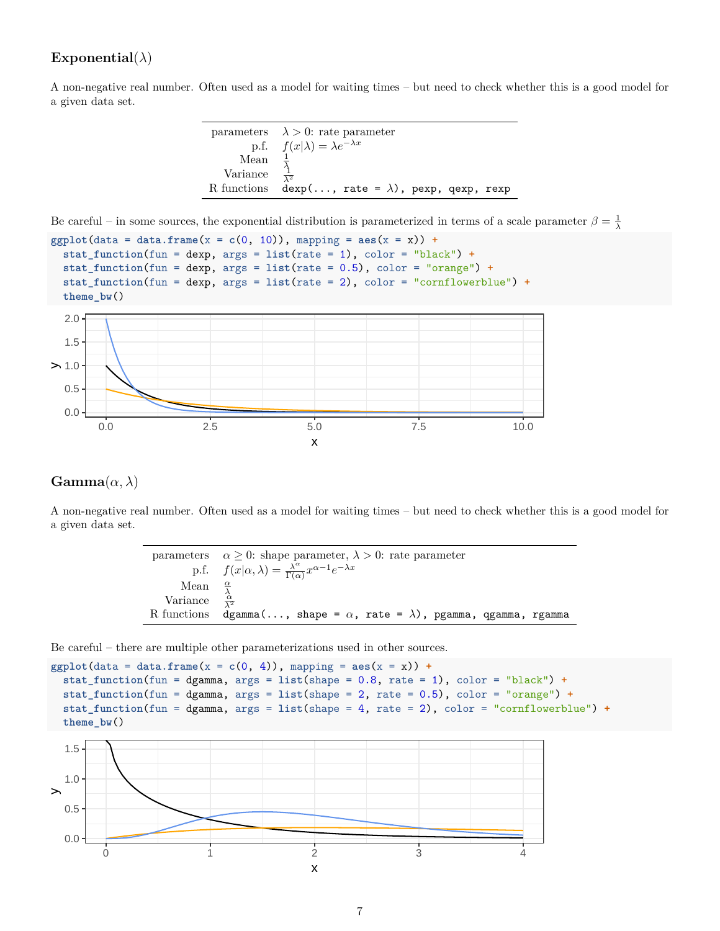#### **Exponential** $(\lambda)$

A non-negative real number. Often used as a model for waiting times – but need to check whether this is a good model for a given data set.

|                                | parameters $\lambda > 0$ : rate parameter               |  |
|--------------------------------|---------------------------------------------------------|--|
|                                | p.f. $f(x \lambda) = \lambda e^{-\lambda x}$            |  |
| Mean $\frac{1}{\lambda}$       |                                                         |  |
| Variance $\frac{1}{\lambda^2}$ |                                                         |  |
|                                | R functions dexp(, rate = $\lambda$ ), pexp, qexp, rexp |  |

Be careful – in some sources, the exponential distribution is parameterized in terms of a scale parameter  $\beta = \frac{1}{\lambda}$ 

```
ggplot(data = data frame(x = c(0, 10)), mapping = aes(x = x)) +stat_function(fun = dexp, args = list(rate = 1), color = "black") +stat_function(fun = dexp, args = list(rate = 0.5), color = "orange") +
  stat_function(fun = dexp, args = list(rate = 2), color = "cornflowerblue") +
  theme_bw()
```


# $\textbf{Gamma}(\alpha, \lambda)$

A non-negative real number. Often used as a model for waiting times – but need to check whether this is a good model for a given data set.

|                                     | parameters $\alpha \geq 0$ : shape parameter, $\lambda > 0$ : rate parameter                     |  |  |
|-------------------------------------|--------------------------------------------------------------------------------------------------|--|--|
|                                     | p.f. $f(x \alpha,\lambda) = \frac{\lambda^{\alpha}}{\Gamma(\alpha)} x^{\alpha-1} e^{-\lambda x}$ |  |  |
| Mean $\frac{\alpha}{\lambda}$       |                                                                                                  |  |  |
| Variance $\frac{\alpha}{\lambda^2}$ |                                                                                                  |  |  |
|                                     | R functions dgamma(, shape = $\alpha$ , rate = $\lambda$ ), pgamma, qgamma, rgamma               |  |  |

Be careful – there are multiple other parameterizations used in other sources.

```
ggplot(data = data.frame(x = c(0, 4)), mapping = aes(x = x)) +
 stat_function(fun = dgamma, args = list(shape = 0.8, rate = 1), color = "black") +
 stat_function(fun = dgamma, args = list(shape = 2, rate = 0.5), color = "orange") +
 stat_function(fun = dgamma, args = list(shape = 4, rate = 2), color = "cornflowerblue") +
 theme_bw()
  0.0
  0.5
  1.0
  1.5
        0 1 2 3 4
                                       x
\mathord{\geqslant}
```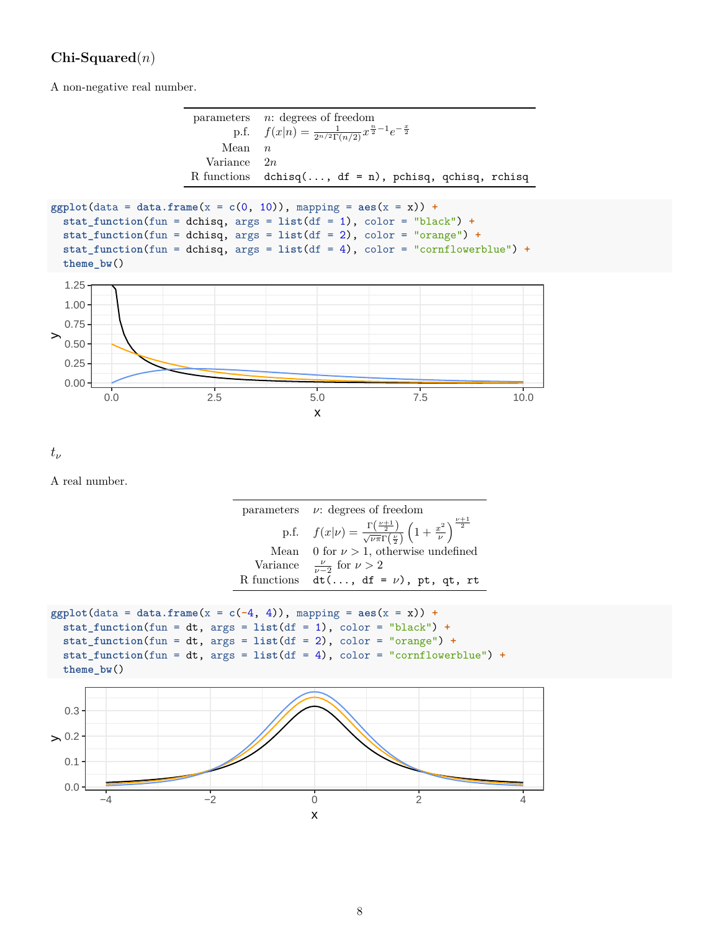# **Chi-Squared**(*n*)

A non-negative real number.



| parameters $\nu$ : degrees of freedom                                                                                                     |
|-------------------------------------------------------------------------------------------------------------------------------------------|
| p.f. $f(x \nu) = \frac{\Gamma(\frac{\nu+1}{2})}{\sqrt{\nu \pi} \Gamma(\frac{\nu}{2})} \left(1 + \frac{x^2}{\nu}\right)^{\frac{\nu+1}{2}}$ |
| Mean 0 for $\nu > 1$ , otherwise undefined                                                                                                |
| Variance $\frac{\nu}{\nu-2}$ for $\nu > 2$                                                                                                |
| R functions $dt(\ldots, df = \nu)$ , pt, qt, rt                                                                                           |

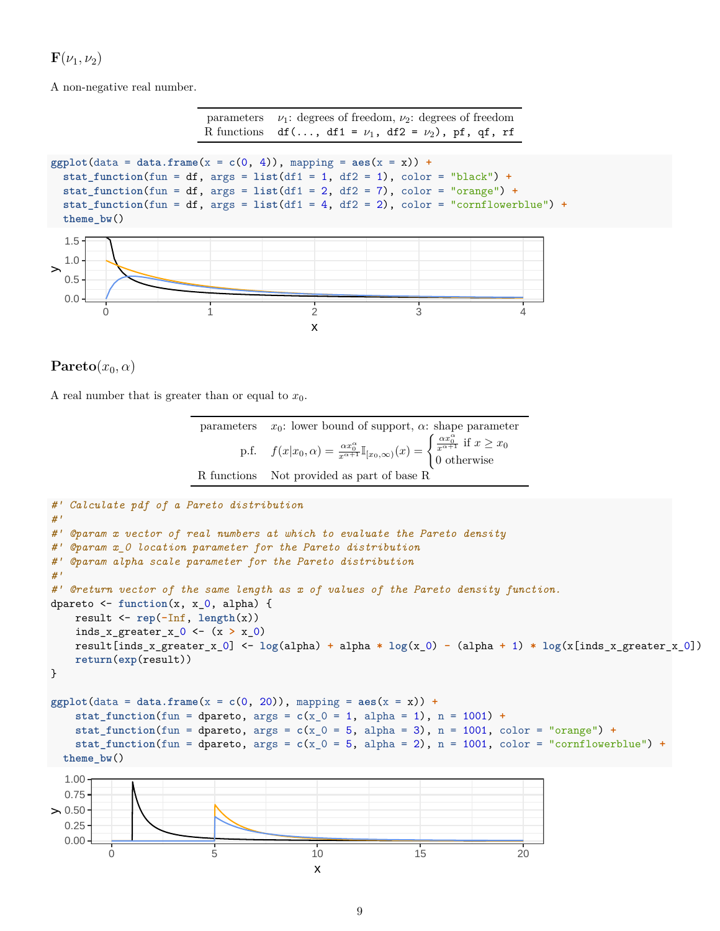$\mathbf{F}(\nu_1,\nu_2)$ 

A non-negative real number.



#### **Pareto** $(x_0, \alpha)$

A real number that is greater than or equal to  $x_0$ .

parameters  $x_0$ : lower bound of support,  $\alpha$ : shape parameter p.f.  $f(x|x_0, \alpha) = \frac{\alpha x_0^{\alpha}}{x^{\alpha+1}} \mathbb{I}_{[x_0, \infty)}(x) = \begin{cases} \frac{\alpha x_0^{\alpha}}{x^{\alpha+1}} & \text{if } x_0 \neq x_0, \\ 0, & \text{if } x_0 \neq x_0 \end{cases}$  $\frac{\alpha x_0}{x^{\alpha+1}}$  if  $x \geq x_0$ 0 otherwise R functions Not provided as part of base R

```
#' Calculate pdf of a Pareto distribution
#'
#' @param x vector of real numbers at which to evaluate the Pareto density
#' @param x_0 location parameter for the Pareto distribution
#' @param alpha scale parameter for the Pareto distribution
#'
#' @return vector of the same length as x of values of the Pareto density function.
dpareto <- function(x, x_0, alpha) {
   result <- rep(-Inf, length(x))
   inds_x_greater_x_0 <- (x > x_0)
   result[inds_x_greater_x_0] <- log(alpha) + alpha * log(x_0) - (alpha + 1) * log(x[inds_x_greater_x_0])
   return(exp(result))
}
ggplot(data = data-frame(x = c(0, 20)), mapping = aes(x = x)) +stat_function(fun = dpareto, args = c(x_0 = 1, \text{ alpha} = 1), n = 1001) +stat_function(fun = dpareto, \arg s = c(x_0 = 5, \text{ alpha} = 3), n = 1001, color = "orange") +
    stat_function(fun = dpareto, args = c(x_0 = 5, alpha = 2), n = 1001, color = "cornflowerblue") +
  theme_bw()
  0.00
  0.25
> 0.500.75
  1.00
         0 5 10 15 20
                                         x
```